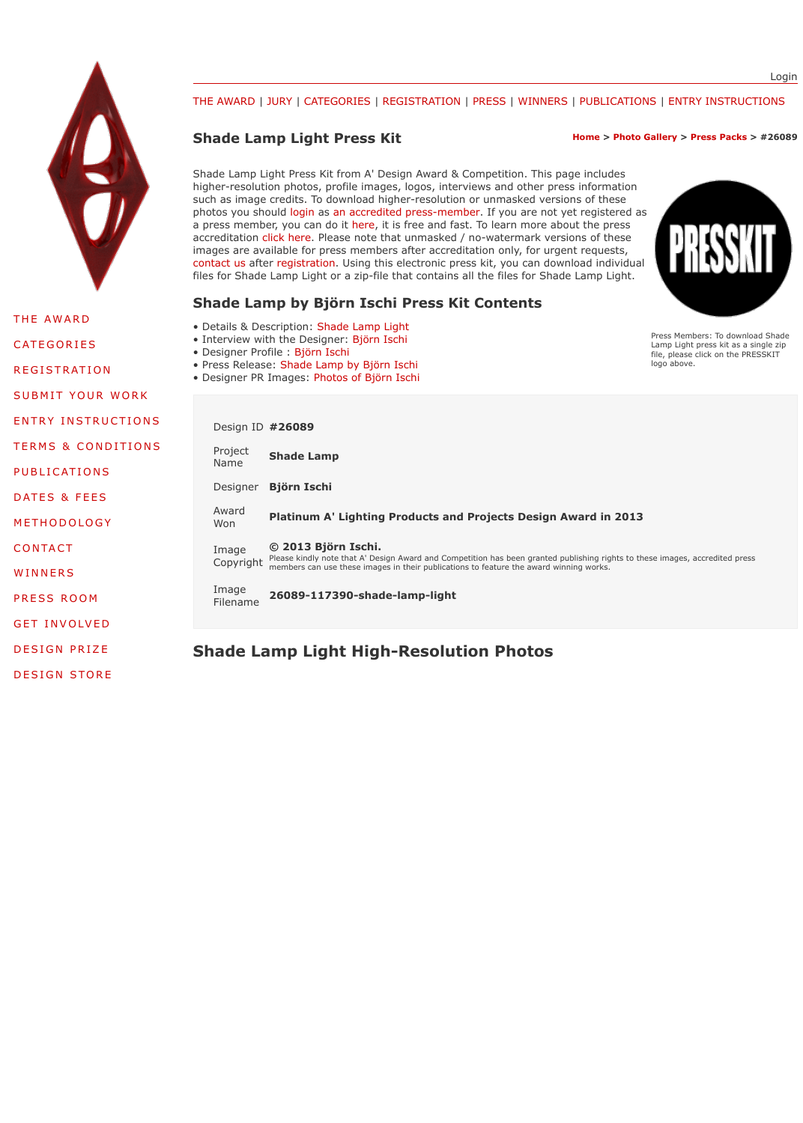| PUBLICATIONS        | <del>.</del><br>Name | <b>Shade Lamp</b>                                                                      |
|---------------------|----------------------|----------------------------------------------------------------------------------------|
| DATES & FEES        | Designer             | <b>Björn Ischi</b>                                                                     |
| METHODOLOGY         | Award<br>Won         | <b>Platinum A' Lighting Products and Projects</b>                                      |
| <b>CONTACT</b>      | Image<br>Copyright   | © 2013 Björn Ischi.<br>Please kindly note that A' Design Award and Competition has bee |
| WINNERS             |                      | members can use these images in their publications to feature th                       |
| PRESS ROOM          | Image<br>Filename    | 26089-117390-shade-lamp-light                                                          |
| <b>GET INVOLVED</b> |                      |                                                                                        |
| <b>DESIGN PRIZE</b> |                      | <b>Shade Lamp Light High-Resolution Photograph</b>                                     |

[DESIGN STORE](https://competition.adesignaward.com/index.html)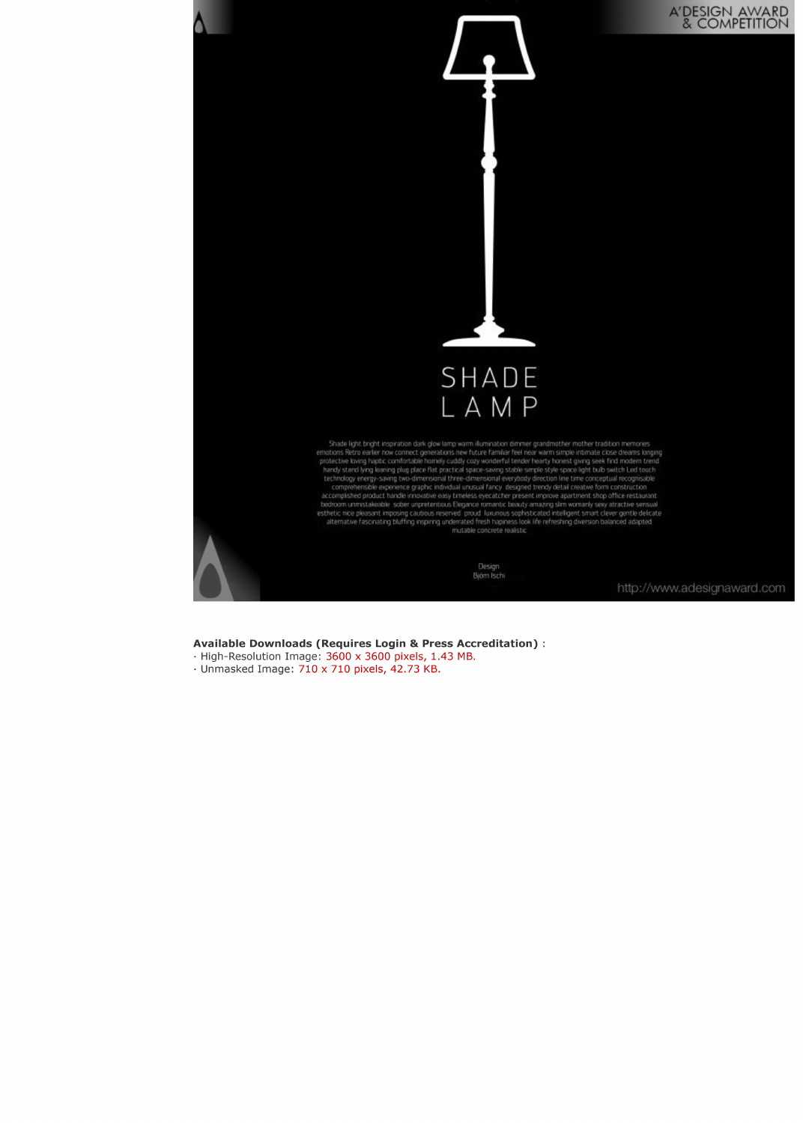# A'DESIGN AWARD<br>& COMPETITION



Shade light bright inspiration dark glow lamp warm illumination dimmer grandmother mother tradition memories emotions Retro earlier now connect generations new future familiar feel near warm simple intimate close dreams longing<br>protective loving haptic comfortable homely cuddly cozy wonderful tender hearty honest giving seek find handy stand lying leaning plug place flat practical space-saving stable simple style space light bulb switch Led touch technology energy-saving two-dimensional three-dimensional everybody direction line time conceptual recognisable<br>comprehensible experience graphic individual unusual fancy designed trendy detail creative form construction accomplished product handle innovative easy timeless eyecatcher present improve apartment shop office restaurant bedroom unmistakeable sober unpretentious Elegance romantic beauty amazing slim womanly sexy atractive sensual esthetic nice pleasant imposing cautious reserved proud luxurious sophisticated intelligent smart clever gentle delicate<br>alternative fascinating bluffing inspiring underrated fresh hapiness look life refreshing diversion b mutable concrete realistic

> Design Björn Ischi

http://www.adesignaward.com

#### **Available Downloads (Requires Login & Press Accreditation):**

- · High-Resolution Image: 3600 x 3600 pixels, 1.43 MB.
- · Unmasked Image: 710 x 710 pixels, 42.73 KB.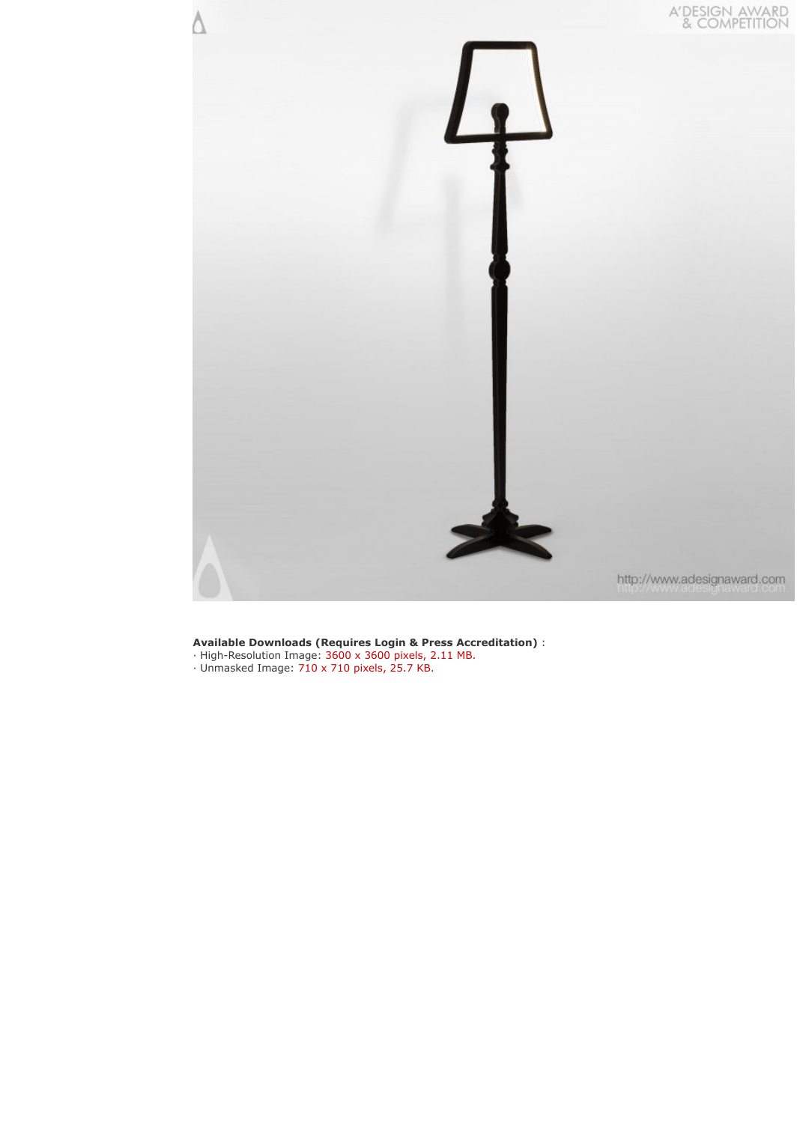

- · High-Resolution Image: 3600 x 3600 pixels, 2.11 MB.
- · Unmasked Image: 710 x 710 pixels, 25.7 KB.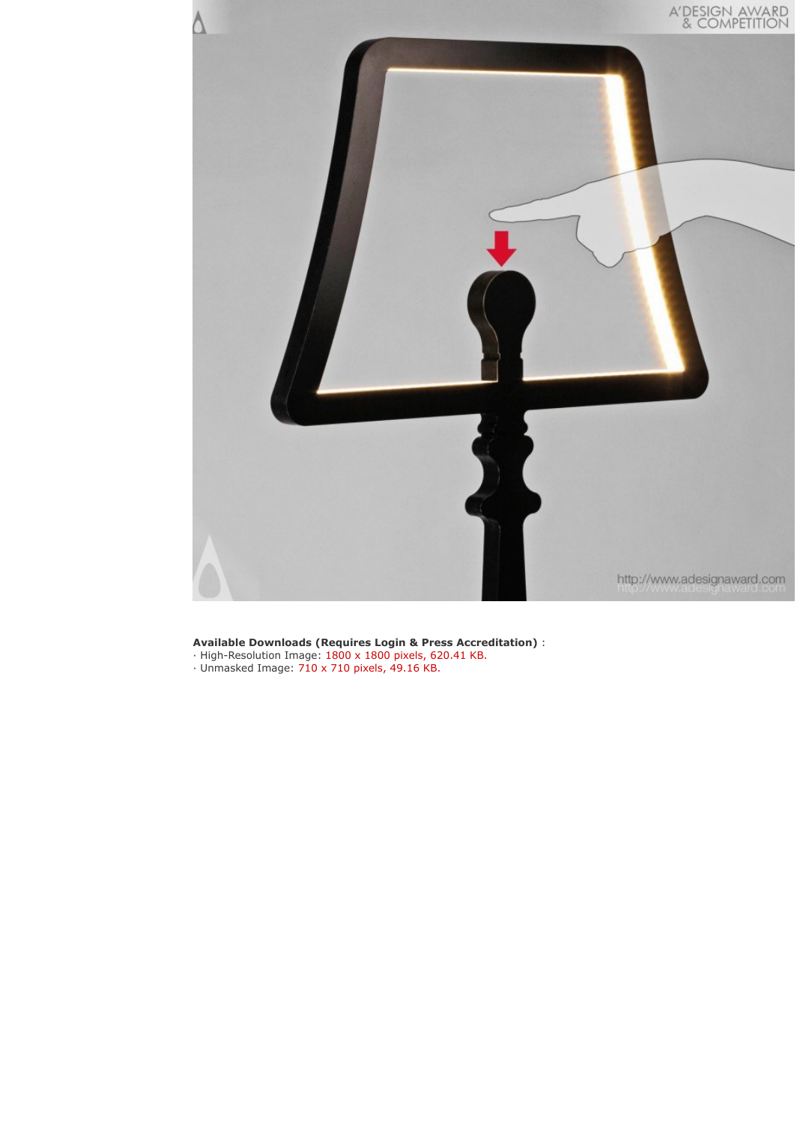

- · High-Resolution Image: 1800 x 1800 pixels, 620.41 KB.
- · Unmasked Image: 710 x 710 pixels, 49.16 KB.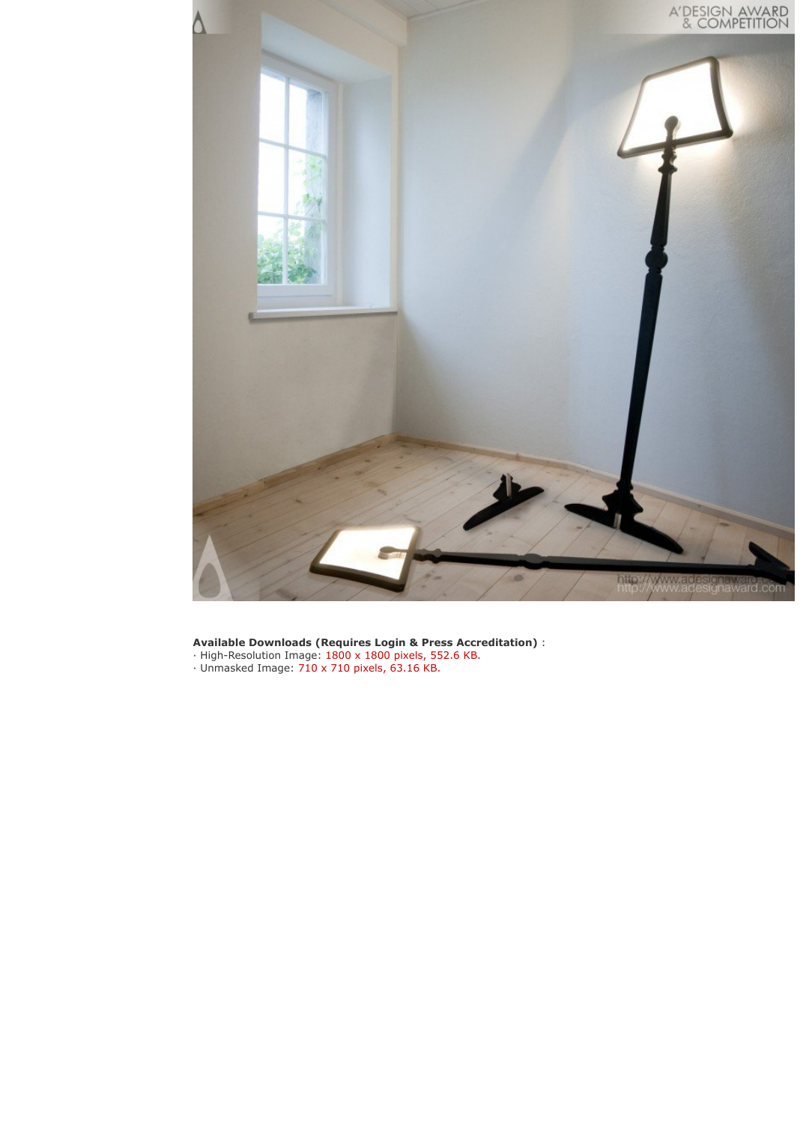

- · High-Resolution Image: 1800 x 1800 pixels, 552.6 KB.
- · Unmasked Image: 710 x 710 pixels, 63.16 KB.